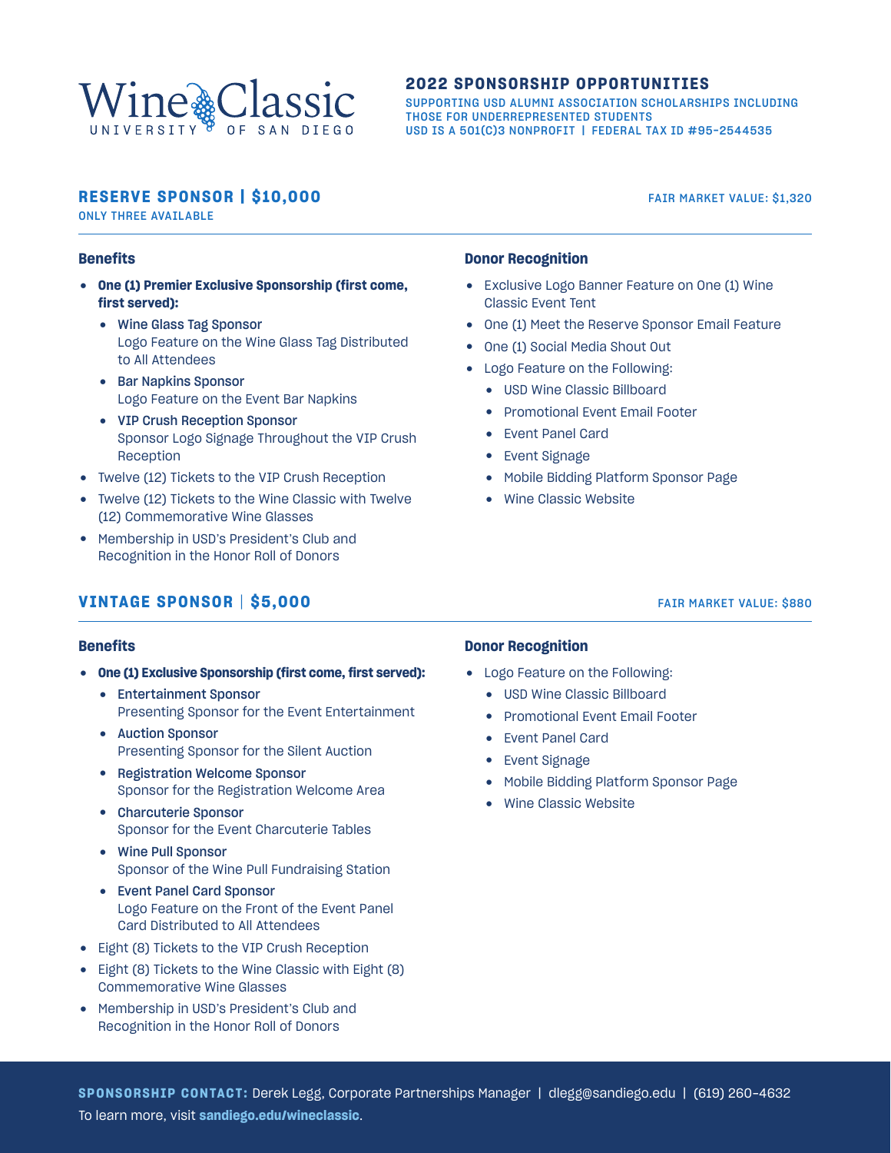

#### **2022 SPONSORSHIP OPPORTUNITIES**

SUPPORTING USD ALUMNI ASSOCIATION SCHOLARSHIPS INCLUDING THOSE FOR UNDERREPRESENTED STUDENTS USD IS A 501(C)3 NONPROFIT | FEDERAL TAX ID #95-2544535

# **RESERVE SPONSOR | \$10,000** FAIR MARKET VALUE: \$1,320

ONLY THREE AVAILABLE

#### **Benefits**

- x **One (1) Premier Exclusive Sponsorship (first come, first served):**
	- Wine Glass Tag Sponsor Logo Feature on the Wine Glass Tag Distributed to All Attendees
	- Bar Napkins Sponsor Logo Feature on the Event Bar Napkins
	- VIP Crush Reception Sponsor Sponsor Logo Signage Throughout the VIP Crush Reception
- Twelve (12) Tickets to the VIP Crush Reception
- Twelve (12) Tickets to the Wine Classic with Twelve (12) Commemorative Wine Glasses
- Membership in USD's President's Club and Recognition in the Honor Roll of Donors

# **VINTAGE SPONSOR | \$5,000** FAIR MARKET VALUE: \$880

### **Donor Recognition**

- Exclusive Logo Banner Feature on One (1) Wine Classic Event Tent
- One (1) Meet the Reserve Sponsor Email Feature
- One (1) Social Media Shout Out
- Logo Feature on the Following:
	- USD Wine Classic Billboard
	- Promotional Event Email Footer
	- Event Panel Card
	- Event Signage
	- Mobile Bidding Platform Sponsor Page
	- Wine Classic Website

#### **Benefits**

- **One (1) Exclusive Sponsorship (first come, first served):** 
	- Entertainment Sponsor Presenting Sponsor for the Event Entertainment
	- Auction Sponsor Presenting Sponsor for the Silent Auction
	- Registration Welcome Sponsor Sponsor for the Registration Welcome Area
	- Charcuterie Sponsor Sponsor for the Event Charcuterie Tables
	- Wine Pull Sponsor Sponsor of the Wine Pull Fundraising Station
	- Event Panel Card Sponsor Logo Feature on the Front of the Event Panel Card Distributed to All Attendees
- Eight (8) Tickets to the VIP Crush Reception
- Eight (8) Tickets to the Wine Classic with Eight (8) Commemorative Wine Glasses
- Membership in USD's President's Club and Recognition in the Honor Roll of Donors

#### **Donor Recognition**

- Logo Feature on the Following:
	- USD Wine Classic Billboard
	- Promotional Event Email Footer
	- Event Panel Card
	- Event Signage
	- Mobile Bidding Platform Sponsor Page
	- Wine Classic Website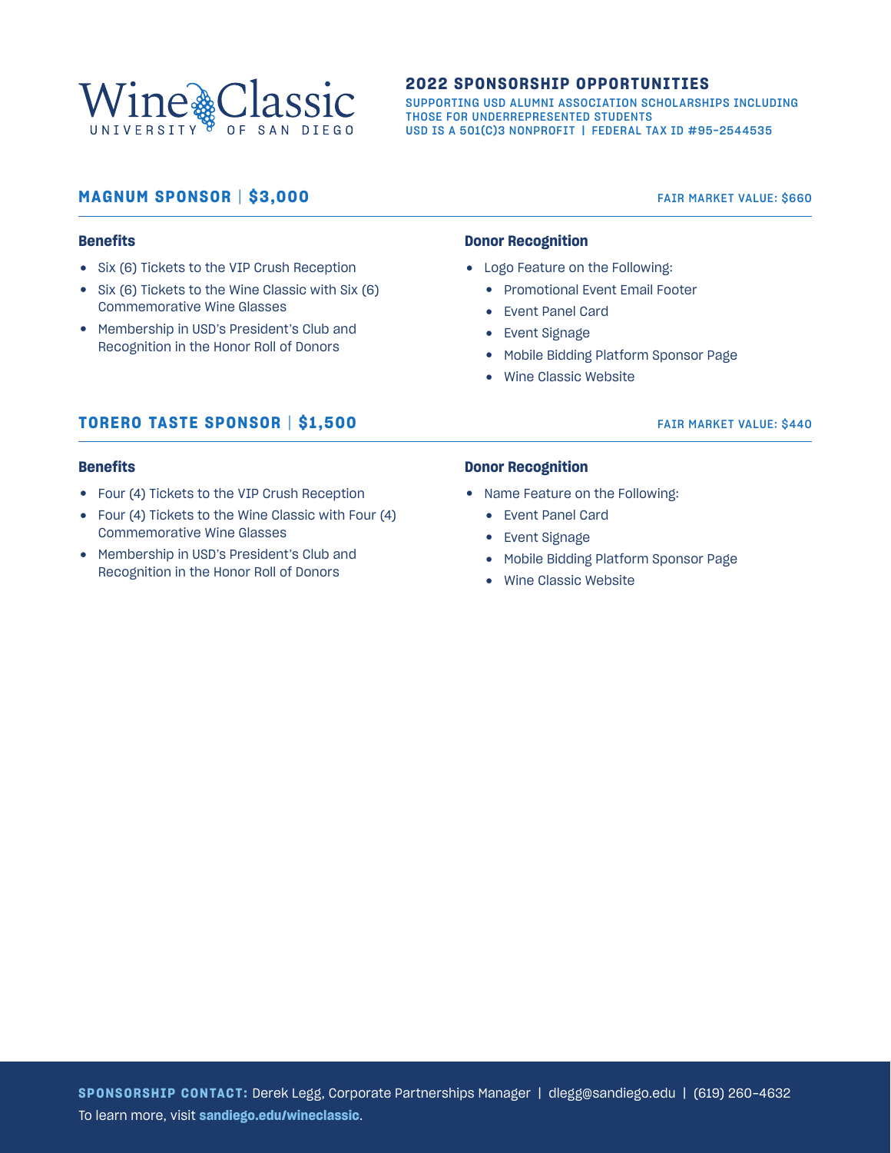

#### **2022 SPONSORSHIP OPPORTUNITIES**

SUPPORTING USD ALUMNI ASSOCIATION SCHOLARSHIPS INCLUDING THOSE FOR UNDERREPRESENTED STUDENTS USD IS A 501(C)3 NONPROFIT | FEDERAL TAX ID #95-2544535

# **MAGNUM SPONSOR | \$3,000** FAIR MARKET VALUE: \$660

#### **Benefits**

- Six (6) Tickets to the VIP Crush Reception
- $\bullet$  Six (6) Tickets to the Wine Classic with Six (6) Commemorative Wine Glasses
- Membership in USD's President's Club and Recognition in the Honor Roll of Donors

#### **Donor Recognition**

- Logo Feature on the Following:
	- Promotional Event Email Footer
	- Event Panel Card
	- Event Signage
	- Mobile Bidding Platform Sponsor Page
	- Wine Classic Website

# **TORERO TASTE SPONSOR | \$1,500** FAIR MARKET VALUE: \$440

#### **Benefits**

- Four (4) Tickets to the VIP Crush Reception
- Four (4) Tickets to the Wine Classic with Four (4) Commemorative Wine Glasses
- Membership in USD's President's Club and Recognition in the Honor Roll of Donors

#### **Donor Recognition**

- Name Feature on the Following:
	- Event Panel Card
	- Event Signage
	- Mobile Bidding Platform Sponsor Page
	- Wine Classic Website